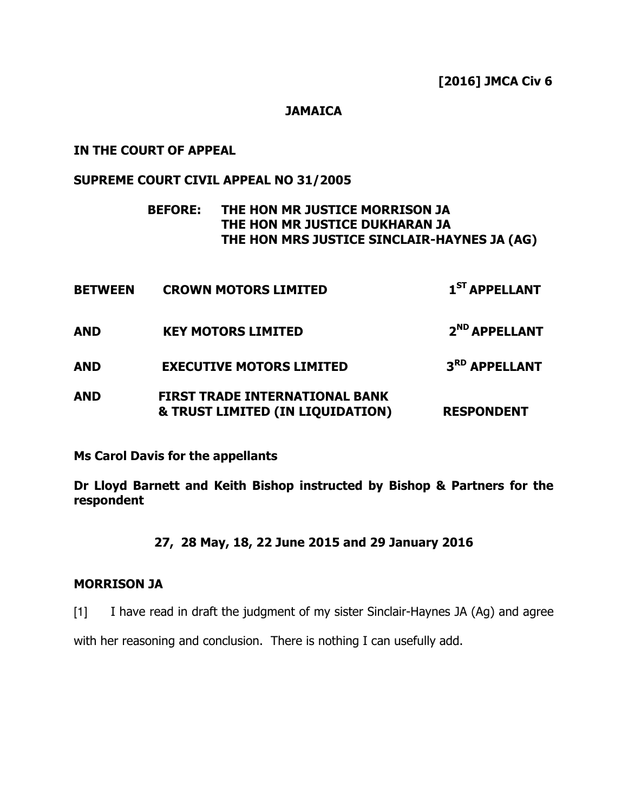## **JAMAICA**

## IN THE COURT OF APPEAL

## SUPREME COURT CIVIL APPEAL NO 31/2005

# BEFORE: THE HON MR JUSTICE MORRISON JA THE HON MR JUSTICE DUKHARAN JA THE HON MRS JUSTICE SINCLAIR-HAYNES JA (AG)

| <b>BETWEEN</b> | <b>CROWN MOTORS LIMITED</b>                                               | 1 <sup>ST</sup> APPELLANT |
|----------------|---------------------------------------------------------------------------|---------------------------|
| <b>AND</b>     | <b>KEY MOTORS LIMITED</b>                                                 | 2 <sup>ND</sup> APPELLANT |
| <b>AND</b>     | <b>EXECUTIVE MOTORS LIMITED</b>                                           | 3 <sup>RD</sup> APPELLANT |
| <b>AND</b>     | <b>FIRST TRADE INTERNATIONAL BANK</b><br>& TRUST LIMITED (IN LIQUIDATION) | <b>RESPONDENT</b>         |

Ms Carol Davis for the appellants

Dr Lloyd Barnett and Keith Bishop instructed by Bishop & Partners for the respondent

27, 28 May, 18, 22 June 2015 and 29 January 2016

## MORRISON JA

[1] I have read in draft the judgment of my sister Sinclair-Haynes JA (Ag) and agree

with her reasoning and conclusion. There is nothing I can usefully add.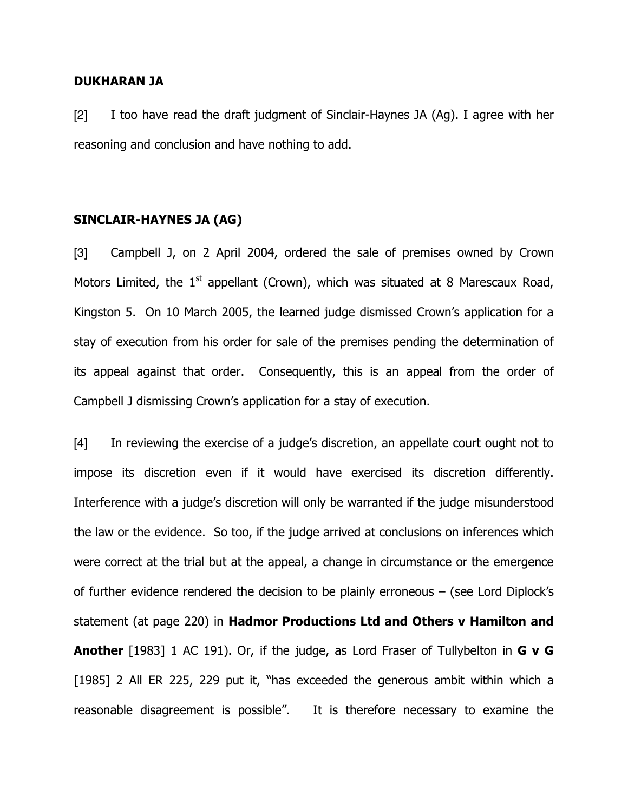#### DUKHARAN JA

[2] I too have read the draft judgment of Sinclair-Haynes JA (Ag). I agree with her reasoning and conclusion and have nothing to add.

## SINCLAIR-HAYNES JA (AG)

[3] Campbell J, on 2 April 2004, ordered the sale of premises owned by Crown Motors Limited, the  $1<sup>st</sup>$  appellant (Crown), which was situated at 8 Marescaux Road, Kingston 5. On 10 March 2005, the learned judge dismissed Crown's application for a stay of execution from his order for sale of the premises pending the determination of its appeal against that order. Consequently, this is an appeal from the order of Campbell J dismissing Crown's application for a stay of execution.

[4] In reviewing the exercise of a judge's discretion, an appellate court ought not to impose its discretion even if it would have exercised its discretion differently. Interference with a judge's discretion will only be warranted if the judge misunderstood the law or the evidence. So too, if the judge arrived at conclusions on inferences which were correct at the trial but at the appeal, a change in circumstance or the emergence of further evidence rendered the decision to be plainly erroneous – (see Lord Diplock's statement (at page 220) in Hadmor Productions Ltd and Others v Hamilton and Another [1983] 1 AC 191). Or, if the judge, as Lord Fraser of Tullybelton in **G v G** [1985] 2 All ER 225, 229 put it, "has exceeded the generous ambit within which a reasonable disagreement is possible". It is therefore necessary to examine the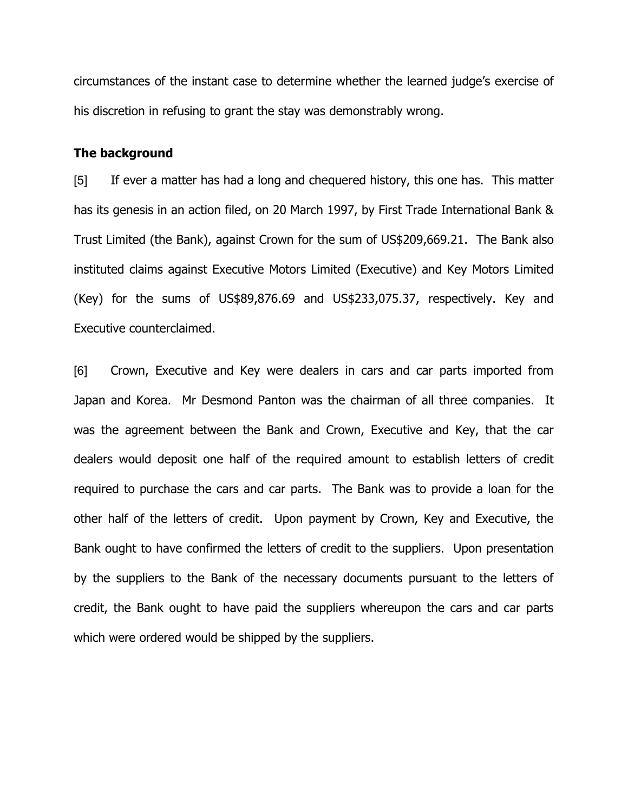circumstances of the instant case to determine whether the learned judge's exercise of his discretion in refusing to grant the stay was demonstrably wrong.

#### The background

[5] If ever a matter has had a long and chequered history, this one has. This matter has its genesis in an action filed, on 20 March 1997, by First Trade International Bank & Trust Limited (the Bank), against Crown for the sum of US\$209,669.21. The Bank also instituted claims against Executive Motors Limited (Executive) and Key Motors Limited (Key) for the sums of US\$89,876.69 and US\$233,075.37, respectively. Key and Executive counterclaimed.

[6] Crown, Executive and Key were dealers in cars and car parts imported from Japan and Korea. Mr Desmond Panton was the chairman of all three companies. It was the agreement between the Bank and Crown, Executive and Key, that the car dealers would deposit one half of the required amount to establish letters of credit required to purchase the cars and car parts. The Bank was to provide a loan for the other half of the letters of credit. Upon payment by Crown, Key and Executive, the Bank ought to have confirmed the letters of credit to the suppliers. Upon presentation by the suppliers to the Bank of the necessary documents pursuant to the letters of credit, the Bank ought to have paid the suppliers whereupon the cars and car parts which were ordered would be shipped by the suppliers.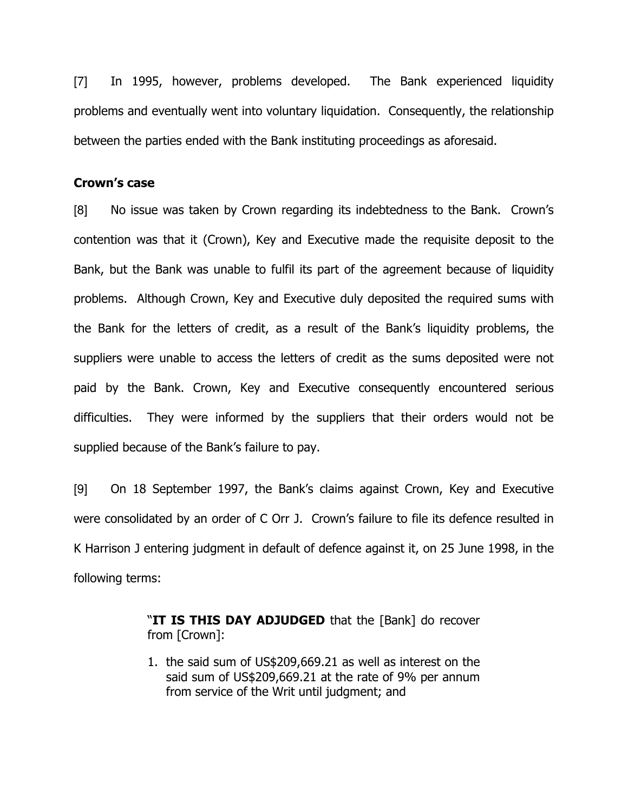[7] In 1995, however, problems developed. The Bank experienced liquidity problems and eventually went into voluntary liquidation. Consequently, the relationship between the parties ended with the Bank instituting proceedings as aforesaid.

# Crown's case

[8] No issue was taken by Crown regarding its indebtedness to the Bank. Crown's contention was that it (Crown), Key and Executive made the requisite deposit to the Bank, but the Bank was unable to fulfil its part of the agreement because of liquidity problems. Although Crown, Key and Executive duly deposited the required sums with the Bank for the letters of credit, as a result of the Bank's liquidity problems, the suppliers were unable to access the letters of credit as the sums deposited were not paid by the Bank. Crown, Key and Executive consequently encountered serious difficulties. They were informed by the suppliers that their orders would not be supplied because of the Bank's failure to pay.

[9] On 18 September 1997, the Bank's claims against Crown, Key and Executive were consolidated by an order of C Orr J. Crown's failure to file its defence resulted in K Harrison J entering judgment in default of defence against it, on 25 June 1998, in the following terms:

> "IT IS THIS DAY ADJUDGED that the [Bank] do recover from [Crown]:

> 1. the said sum of US\$209,669.21 as well as interest on the said sum of US\$209,669.21 at the rate of 9% per annum from service of the Writ until judgment; and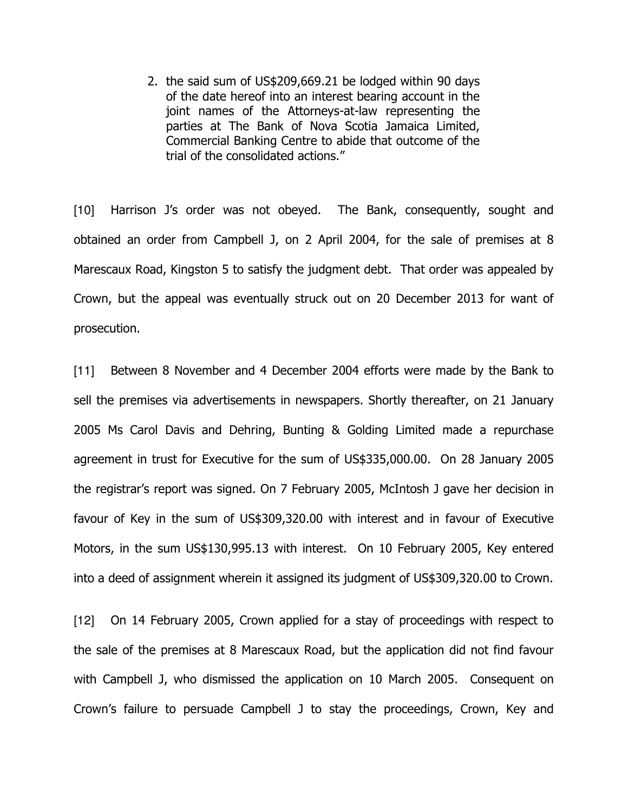2. the said sum of US\$209,669.21 be lodged within 90 days of the date hereof into an interest bearing account in the joint names of the Attorneys-at-law representing the parties at The Bank of Nova Scotia Jamaica Limited, Commercial Banking Centre to abide that outcome of the trial of the consolidated actions."

[10] Harrison J's order was not obeyed. The Bank, consequently, sought and obtained an order from Campbell J, on 2 April 2004, for the sale of premises at 8 Marescaux Road, Kingston 5 to satisfy the judgment debt. That order was appealed by Crown, but the appeal was eventually struck out on 20 December 2013 for want of prosecution.

[11] Between 8 November and 4 December 2004 efforts were made by the Bank to sell the premises via advertisements in newspapers. Shortly thereafter, on 21 January 2005 Ms Carol Davis and Dehring, Bunting & Golding Limited made a repurchase agreement in trust for Executive for the sum of US\$335,000.00. On 28 January 2005 the registrar's report was signed. On 7 February 2005, McIntosh J gave her decision in favour of Key in the sum of US\$309,320.00 with interest and in favour of Executive Motors, in the sum US\$130,995.13 with interest. On 10 February 2005, Key entered into a deed of assignment wherein it assigned its judgment of US\$309,320.00 to Crown.

[12] On 14 February 2005, Crown applied for a stay of proceedings with respect to the sale of the premises at 8 Marescaux Road, but the application did not find favour with Campbell J, who dismissed the application on 10 March 2005. Consequent on Crown's failure to persuade Campbell J to stay the proceedings, Crown, Key and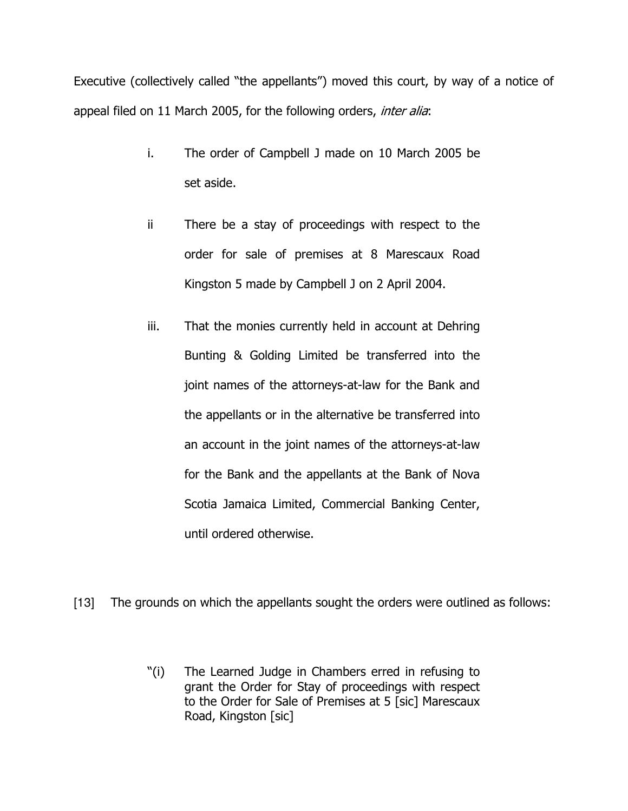Executive (collectively called "the appellants") moved this court, by way of a notice of appeal filed on 11 March 2005, for the following orders, *inter alia*:

- i. The order of Campbell J made on 10 March 2005 be set aside.
- ii There be a stay of proceedings with respect to the order for sale of premises at 8 Marescaux Road Kingston 5 made by Campbell J on 2 April 2004.
- iii. That the monies currently held in account at Dehring Bunting & Golding Limited be transferred into the joint names of the attorneys-at-law for the Bank and the appellants or in the alternative be transferred into an account in the joint names of the attorneys-at-law for the Bank and the appellants at the Bank of Nova Scotia Jamaica Limited, Commercial Banking Center, until ordered otherwise.
- [13] The grounds on which the appellants sought the orders were outlined as follows:
	- "(i) The Learned Judge in Chambers erred in refusing to grant the Order for Stay of proceedings with respect to the Order for Sale of Premises at 5 [sic] Marescaux Road, Kingston [sic]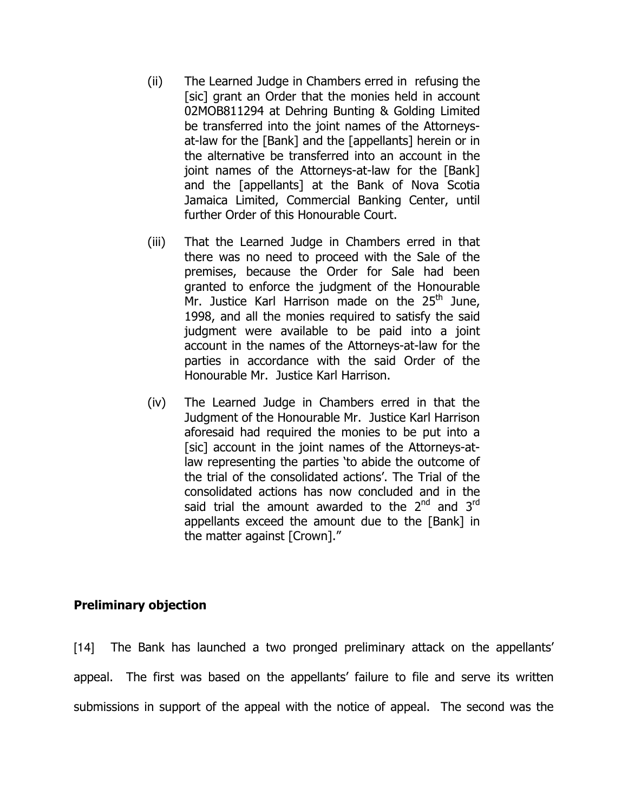- (ii) The Learned Judge in Chambers erred in refusing the [sic] grant an Order that the monies held in account 02MOB811294 at Dehring Bunting & Golding Limited be transferred into the joint names of the Attorneysat-law for the [Bank] and the [appellants] herein or in the alternative be transferred into an account in the joint names of the Attorneys-at-law for the [Bank] and the [appellants] at the Bank of Nova Scotia Jamaica Limited, Commercial Banking Center, until further Order of this Honourable Court.
- (iii) That the Learned Judge in Chambers erred in that there was no need to proceed with the Sale of the premises, because the Order for Sale had been granted to enforce the judgment of the Honourable Mr. Justice Karl Harrison made on the  $25<sup>th</sup>$  June, 1998, and all the monies required to satisfy the said judgment were available to be paid into a joint account in the names of the Attorneys-at-law for the parties in accordance with the said Order of the Honourable Mr. Justice Karl Harrison.
- (iv) The Learned Judge in Chambers erred in that the Judgment of the Honourable Mr. Justice Karl Harrison aforesaid had required the monies to be put into a [sic] account in the joint names of the Attorneys-atlaw representing the parties 'to abide the outcome of the trial of the consolidated actions'. The Trial of the consolidated actions has now concluded and in the said trial the amount awarded to the  $2^{nd}$  and  $3^{rd}$ appellants exceed the amount due to the [Bank] in the matter against [Crown]."

# Preliminary objection

[14] The Bank has launched a two pronged preliminary attack on the appellants' appeal. The first was based on the appellants' failure to file and serve its written submissions in support of the appeal with the notice of appeal. The second was the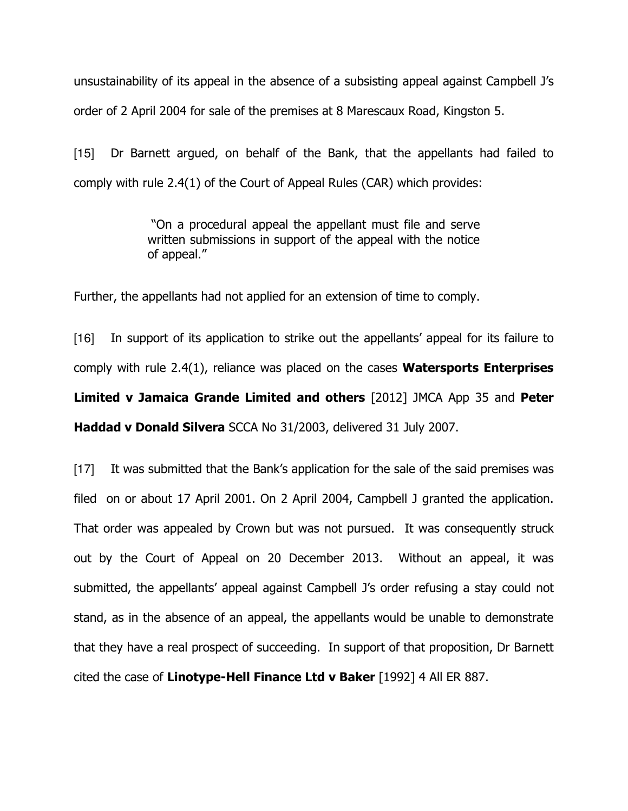unsustainability of its appeal in the absence of a subsisting appeal against Campbell J's order of 2 April 2004 for sale of the premises at 8 Marescaux Road, Kingston 5.

[15] Dr Barnett argued, on behalf of the Bank, that the appellants had failed to comply with rule 2.4(1) of the Court of Appeal Rules (CAR) which provides:

> "On a procedural appeal the appellant must file and serve written submissions in support of the appeal with the notice of appeal."

Further, the appellants had not applied for an extension of time to comply.

[16] In support of its application to strike out the appellants' appeal for its failure to comply with rule  $2.4(1)$ , reliance was placed on the cases **Watersports Enterprises** Limited v Jamaica Grande Limited and others [2012] JMCA App 35 and Peter Haddad v Donald Silvera SCCA No 31/2003, delivered 31 July 2007.

[17] It was submitted that the Bank's application for the sale of the said premises was filed on or about 17 April 2001. On 2 April 2004, Campbell J granted the application. That order was appealed by Crown but was not pursued. It was consequently struck out by the Court of Appeal on 20 December 2013. Without an appeal, it was submitted, the appellants' appeal against Campbell J's order refusing a stay could not stand, as in the absence of an appeal, the appellants would be unable to demonstrate that they have a real prospect of succeeding. In support of that proposition, Dr Barnett cited the case of Linotype-Hell Finance Ltd v Baker [1992] 4 All ER 887.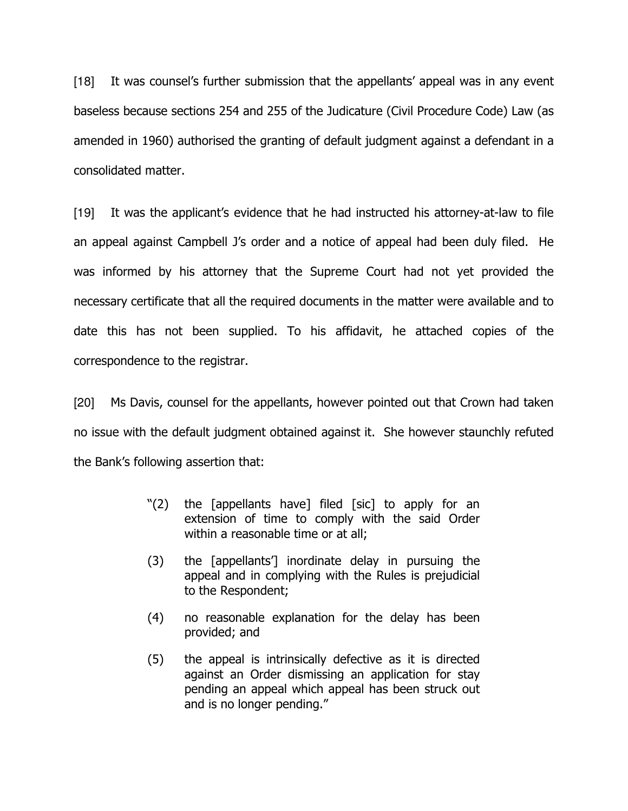[18] It was counsel's further submission that the appellants' appeal was in any event baseless because sections 254 and 255 of the Judicature (Civil Procedure Code) Law (as amended in 1960) authorised the granting of default judgment against a defendant in a consolidated matter.

[19] It was the applicant's evidence that he had instructed his attorney-at-law to file an appeal against Campbell J's order and a notice of appeal had been duly filed. He was informed by his attorney that the Supreme Court had not yet provided the necessary certificate that all the required documents in the matter were available and to date this has not been supplied. To his affidavit, he attached copies of the correspondence to the registrar.

[20] Ms Davis, counsel for the appellants, however pointed out that Crown had taken no issue with the default judgment obtained against it. She however staunchly refuted the Bank's following assertion that:

- "(2) the [appellants have] filed [sic] to apply for an extension of time to comply with the said Order within a reasonable time or at all;
- (3) the [appellants'] inordinate delay in pursuing the appeal and in complying with the Rules is prejudicial to the Respondent;
- (4) no reasonable explanation for the delay has been provided; and
- (5) the appeal is intrinsically defective as it is directed against an Order dismissing an application for stay pending an appeal which appeal has been struck out and is no longer pending."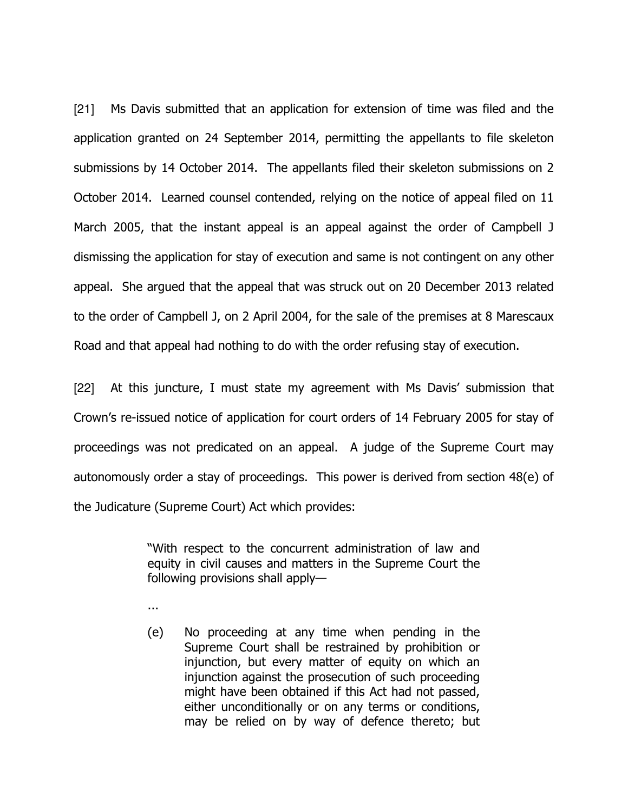[21] Ms Davis submitted that an application for extension of time was filed and the application granted on 24 September 2014, permitting the appellants to file skeleton submissions by 14 October 2014. The appellants filed their skeleton submissions on 2 October 2014. Learned counsel contended, relying on the notice of appeal filed on 11 March 2005, that the instant appeal is an appeal against the order of Campbell J dismissing the application for stay of execution and same is not contingent on any other appeal. She argued that the appeal that was struck out on 20 December 2013 related to the order of Campbell J, on 2 April 2004, for the sale of the premises at 8 Marescaux Road and that appeal had nothing to do with the order refusing stay of execution.

[22] At this juncture, I must state my agreement with Ms Davis' submission that Crown's re-issued notice of application for court orders of 14 February 2005 for stay of proceedings was not predicated on an appeal. A judge of the Supreme Court may autonomously order a stay of proceedings. This power is derived from section 48(e) of the Judicature (Supreme Court) Act which provides:

> "With respect to the concurrent administration of law and equity in civil causes and matters in the Supreme Court the following provisions shall apply—

- ...
- (e) No proceeding at any time when pending in the Supreme Court shall be restrained by prohibition or injunction, but every matter of equity on which an injunction against the prosecution of such proceeding might have been obtained if this Act had not passed, either unconditionally or on any terms or conditions, may be relied on by way of defence thereto; but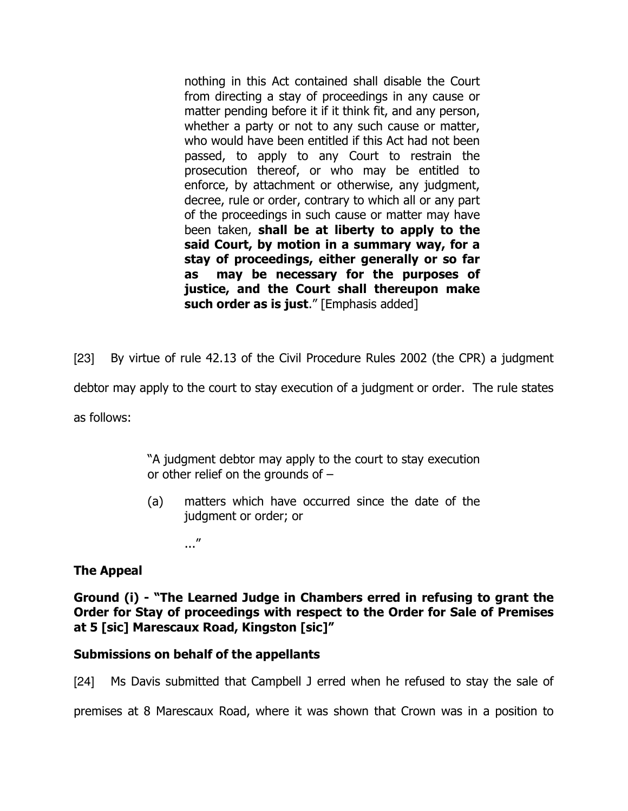nothing in this Act contained shall disable the Court from directing a stay of proceedings in any cause or matter pending before it if it think fit, and any person, whether a party or not to any such cause or matter, who would have been entitled if this Act had not been passed, to apply to any Court to restrain the prosecution thereof, or who may be entitled to enforce, by attachment or otherwise, any judgment, decree, rule or order, contrary to which all or any part of the proceedings in such cause or matter may have been taken, shall be at liberty to apply to the said Court, by motion in a summary way, for a stay of proceedings, either generally or so far as may be necessary for the purposes of justice, and the Court shall thereupon make such order as is just." [Emphasis added]

[23] By virtue of rule 42.13 of the Civil Procedure Rules 2002 (the CPR) a judgment

debtor may apply to the court to stay execution of a judgment or order. The rule states

as follows:

"A judgment debtor may apply to the court to stay execution or other relief on the grounds of –

(a) matters which have occurred since the date of the judgment or order; or

..."

## The Appeal

Ground (i) - "The Learned Judge in Chambers erred in refusing to grant the Order for Stay of proceedings with respect to the Order for Sale of Premises at 5 [sic] Marescaux Road, Kingston [sic]"

## Submissions on behalf of the appellants

[24] Ms Davis submitted that Campbell J erred when he refused to stay the sale of

premises at 8 Marescaux Road, where it was shown that Crown was in a position to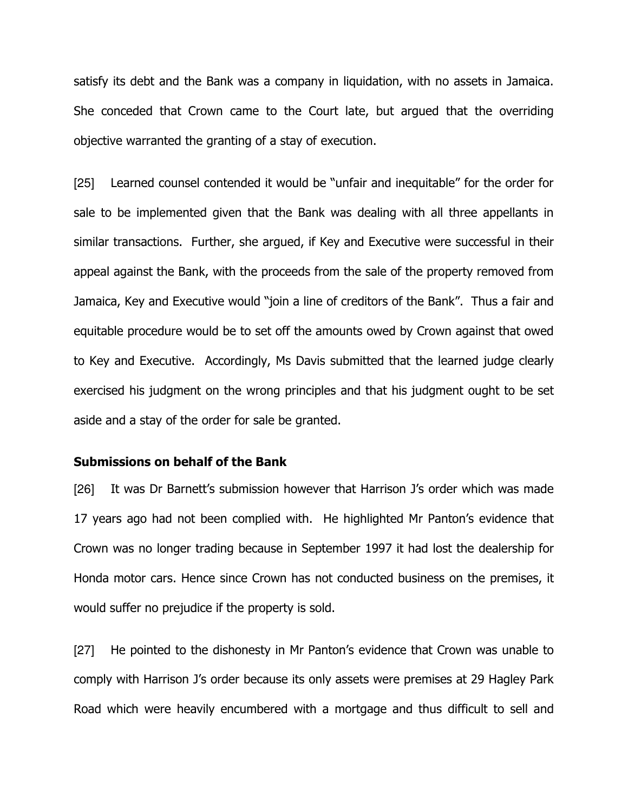satisfy its debt and the Bank was a company in liquidation, with no assets in Jamaica. She conceded that Crown came to the Court late, but argued that the overriding objective warranted the granting of a stay of execution.

[25] Learned counsel contended it would be "unfair and inequitable" for the order for sale to be implemented given that the Bank was dealing with all three appellants in similar transactions. Further, she argued, if Key and Executive were successful in their appeal against the Bank, with the proceeds from the sale of the property removed from Jamaica, Key and Executive would "join a line of creditors of the Bank". Thus a fair and equitable procedure would be to set off the amounts owed by Crown against that owed to Key and Executive. Accordingly, Ms Davis submitted that the learned judge clearly exercised his judgment on the wrong principles and that his judgment ought to be set aside and a stay of the order for sale be granted.

### Submissions on behalf of the Bank

[26] It was Dr Barnett's submission however that Harrison J's order which was made 17 years ago had not been complied with. He highlighted Mr Panton's evidence that Crown was no longer trading because in September 1997 it had lost the dealership for Honda motor cars. Hence since Crown has not conducted business on the premises, it would suffer no prejudice if the property is sold.

[27] He pointed to the dishonesty in Mr Panton's evidence that Crown was unable to comply with Harrison J's order because its only assets were premises at 29 Hagley Park Road which were heavily encumbered with a mortgage and thus difficult to sell and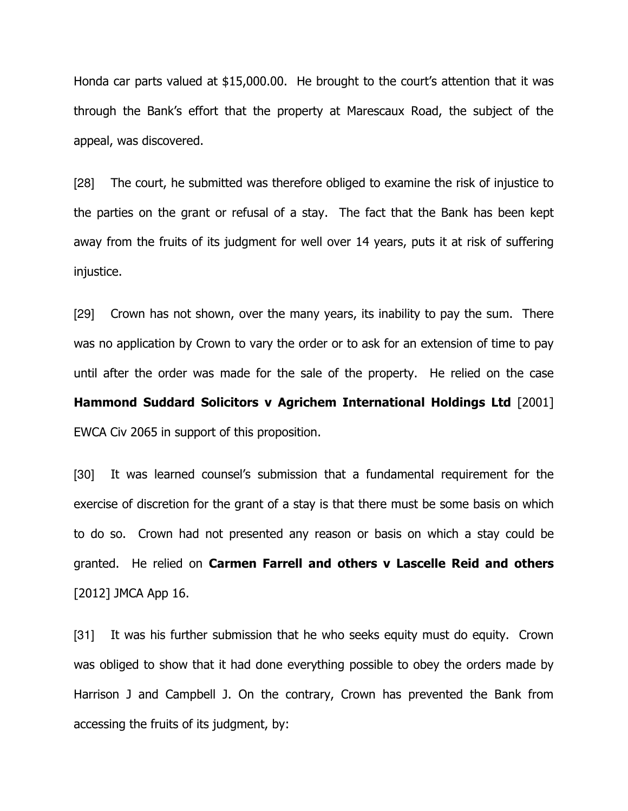Honda car parts valued at \$15,000.00. He brought to the court's attention that it was through the Bank's effort that the property at Marescaux Road, the subject of the appeal, was discovered.

[28] The court, he submitted was therefore obliged to examine the risk of injustice to the parties on the grant or refusal of a stay. The fact that the Bank has been kept away from the fruits of its judgment for well over 14 years, puts it at risk of suffering injustice.

[29] Crown has not shown, over the many years, its inability to pay the sum. There was no application by Crown to vary the order or to ask for an extension of time to pay until after the order was made for the sale of the property. He relied on the case Hammond Suddard Solicitors v Agrichem International Holdings Ltd [2001] EWCA Civ 2065 in support of this proposition.

[30] It was learned counsel's submission that a fundamental requirement for the exercise of discretion for the grant of a stay is that there must be some basis on which to do so. Crown had not presented any reason or basis on which a stay could be granted. He relied on Carmen Farrell and others v Lascelle Reid and others [2012] JMCA App 16.

[31] It was his further submission that he who seeks equity must do equity. Crown was obliged to show that it had done everything possible to obey the orders made by Harrison J and Campbell J. On the contrary, Crown has prevented the Bank from accessing the fruits of its judgment, by: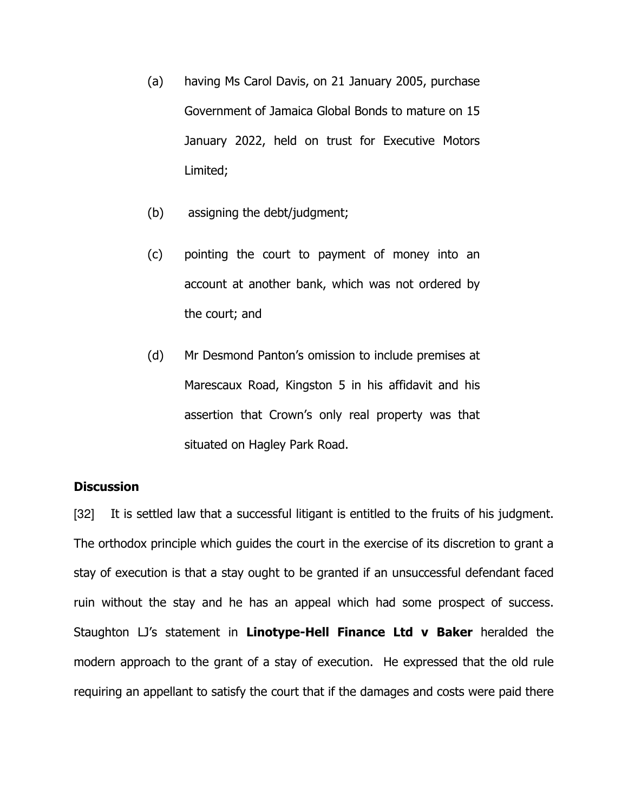- (a) having Ms Carol Davis, on 21 January 2005, purchase Government of Jamaica Global Bonds to mature on 15 January 2022, held on trust for Executive Motors Limited;
- (b) assigning the debt/judgment;
- (c) pointing the court to payment of money into an account at another bank, which was not ordered by the court; and
- (d) Mr Desmond Panton's omission to include premises at Marescaux Road, Kingston 5 in his affidavit and his assertion that Crown's only real property was that situated on Hagley Park Road.

# **Discussion**

[32] It is settled law that a successful litigant is entitled to the fruits of his judgment. The orthodox principle which guides the court in the exercise of its discretion to grant a stay of execution is that a stay ought to be granted if an unsuccessful defendant faced ruin without the stay and he has an appeal which had some prospect of success. Staughton LJ's statement in Linotype-Hell Finance Ltd v Baker heralded the modern approach to the grant of a stay of execution. He expressed that the old rule requiring an appellant to satisfy the court that if the damages and costs were paid there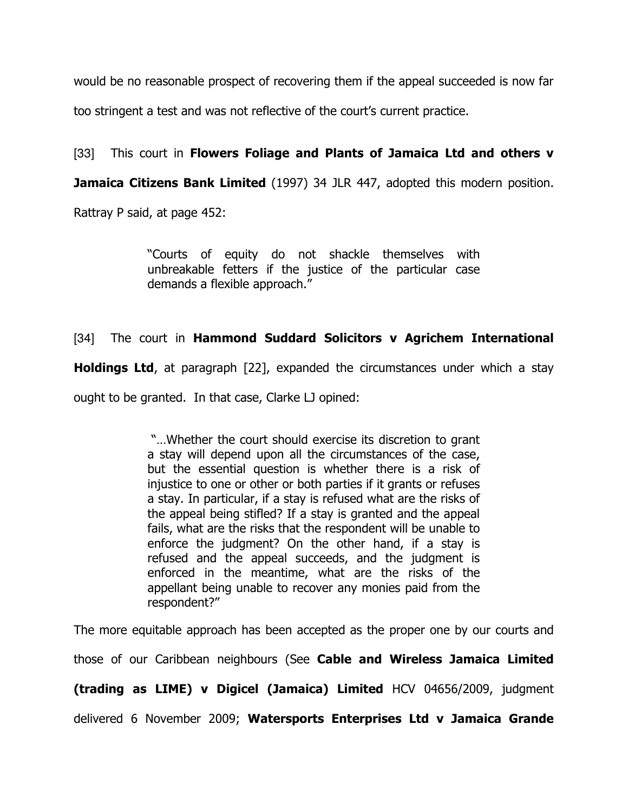would be no reasonable prospect of recovering them if the appeal succeeded is now far too stringent a test and was not reflective of the court's current practice.

[33] This court in Flowers Foliage and Plants of Jamaica Ltd and others v **Jamaica Citizens Bank Limited** (1997) 34 JLR 447, adopted this modern position. Rattray P said, at page 452:

> "Courts of equity do not shackle themselves with unbreakable fetters if the justice of the particular case demands a flexible approach."

# [34] The court in Hammond Suddard Solicitors v Agrichem International

**Holdings Ltd**, at paragraph [22], expanded the circumstances under which a stay

ought to be granted. In that case, Clarke LJ opined:

 "…Whether the court should exercise its discretion to grant a stay will depend upon all the circumstances of the case, but the essential question is whether there is a risk of injustice to one or other or both parties if it grants or refuses a stay. In particular, if a stay is refused what are the risks of the appeal being stifled? If a stay is granted and the appeal fails, what are the risks that the respondent will be unable to enforce the judgment? On the other hand, if a stay is refused and the appeal succeeds, and the judgment is enforced in the meantime, what are the risks of the appellant being unable to recover any monies paid from the respondent?"

The more equitable approach has been accepted as the proper one by our courts and

those of our Caribbean neighbours (See Cable and Wireless Jamaica Limited

(trading as LIME) v Digicel (Jamaica) Limited HCV 04656/2009, judgment

delivered 6 November 2009; Watersports Enterprises Ltd v Jamaica Grande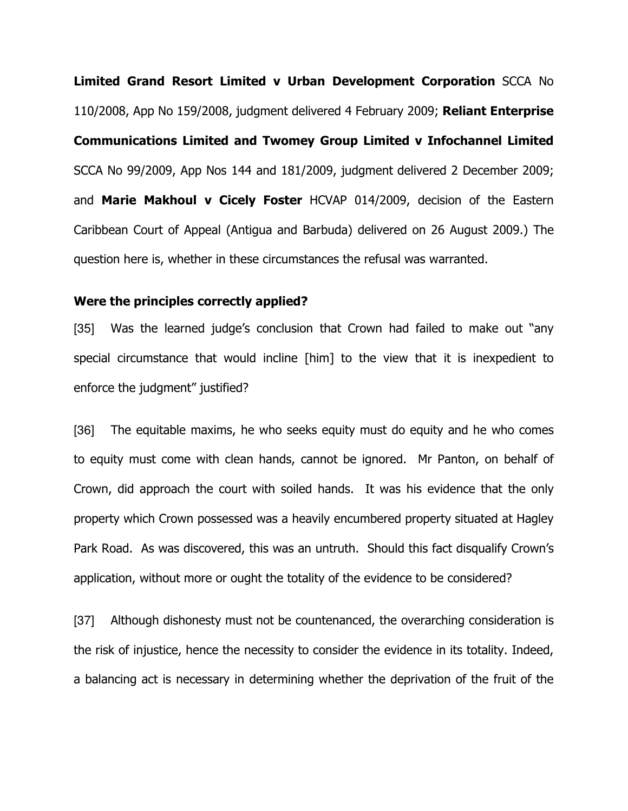Limited Grand Resort Limited v Urban Development Corporation SCCA No 110/2008, App No 159/2008, judgment delivered 4 February 2009; Reliant Enterprise Communications Limited and Twomey Group Limited v Infochannel Limited SCCA No 99/2009, App Nos 144 and 181/2009, judgment delivered 2 December 2009; and Marie Makhoul v Cicely Foster HCVAP 014/2009, decision of the Eastern Caribbean Court of Appeal (Antigua and Barbuda) delivered on 26 August 2009.) The question here is, whether in these circumstances the refusal was warranted.

#### Were the principles correctly applied?

[35] Was the learned judge's conclusion that Crown had failed to make out "any special circumstance that would incline [him] to the view that it is inexpedient to enforce the judgment" justified?

[36] The equitable maxims, he who seeks equity must do equity and he who comes to equity must come with clean hands, cannot be ignored. Mr Panton, on behalf of Crown, did approach the court with soiled hands. It was his evidence that the only property which Crown possessed was a heavily encumbered property situated at Hagley Park Road. As was discovered, this was an untruth. Should this fact disqualify Crown's application, without more or ought the totality of the evidence to be considered?

[37] Although dishonesty must not be countenanced, the overarching consideration is the risk of injustice, hence the necessity to consider the evidence in its totality. Indeed, a balancing act is necessary in determining whether the deprivation of the fruit of the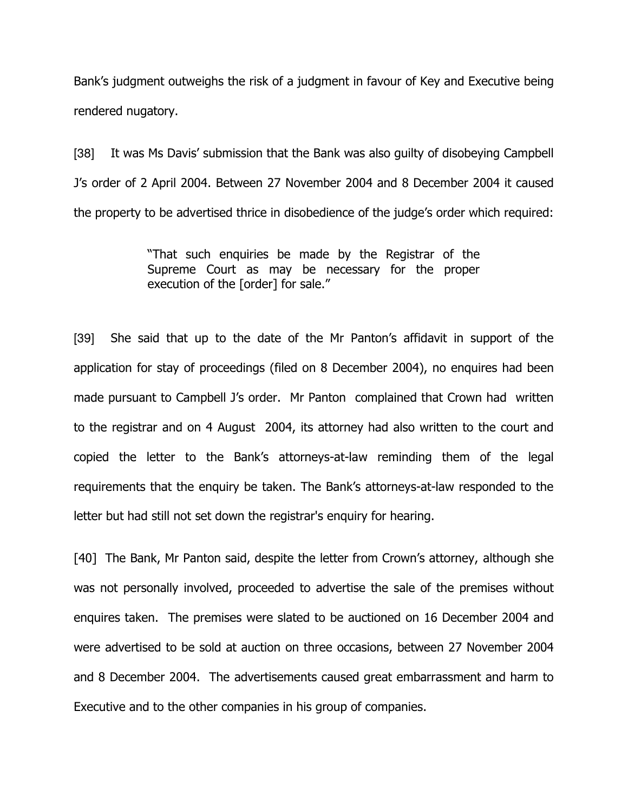Bank's judgment outweighs the risk of a judgment in favour of Key and Executive being rendered nugatory.

[38] It was Ms Davis' submission that the Bank was also guilty of disobeying Campbell J's order of 2 April 2004. Between 27 November 2004 and 8 December 2004 it caused the property to be advertised thrice in disobedience of the judge's order which required:

> "That such enquiries be made by the Registrar of the Supreme Court as may be necessary for the proper execution of the [order] for sale."

[39] She said that up to the date of the Mr Panton's affidavit in support of the application for stay of proceedings (filed on 8 December 2004), no enquires had been made pursuant to Campbell J's order. Mr Panton complained that Crown had written to the registrar and on 4 August 2004, its attorney had also written to the court and copied the letter to the Bank's attorneys-at-law reminding them of the legal requirements that the enquiry be taken. The Bank's attorneys-at-law responded to the letter but had still not set down the registrar's enquiry for hearing.

[40] The Bank, Mr Panton said, despite the letter from Crown's attorney, although she was not personally involved, proceeded to advertise the sale of the premises without enquires taken. The premises were slated to be auctioned on 16 December 2004 and were advertised to be sold at auction on three occasions, between 27 November 2004 and 8 December 2004. The advertisements caused great embarrassment and harm to Executive and to the other companies in his group of companies.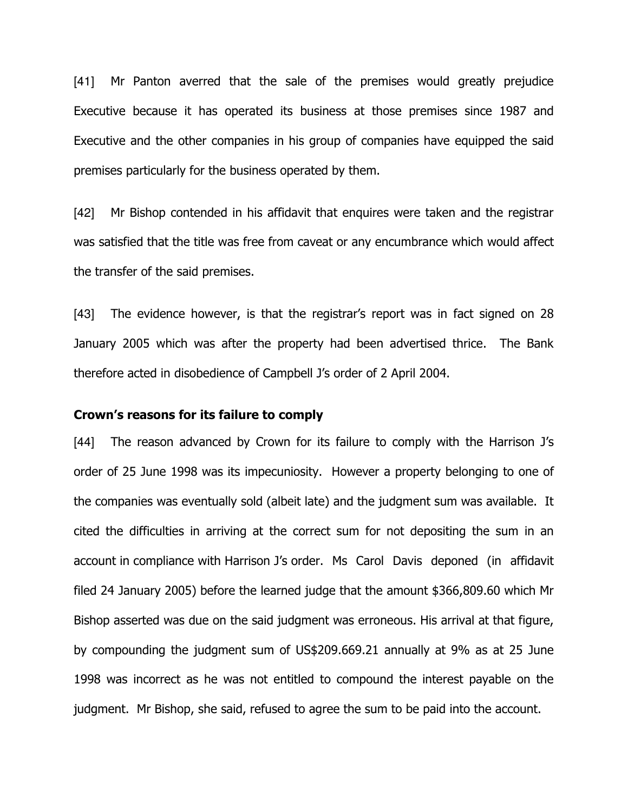[41] Mr Panton averred that the sale of the premises would greatly prejudice Executive because it has operated its business at those premises since 1987 and Executive and the other companies in his group of companies have equipped the said premises particularly for the business operated by them.

[42] Mr Bishop contended in his affidavit that enquires were taken and the registrar was satisfied that the title was free from caveat or any encumbrance which would affect the transfer of the said premises.

[43] The evidence however, is that the registrar's report was in fact signed on 28 January 2005 which was after the property had been advertised thrice. The Bank therefore acted in disobedience of Campbell J's order of 2 April 2004.

### Crown's reasons for its failure to comply

[44] The reason advanced by Crown for its failure to comply with the Harrison J's order of 25 June 1998 was its impecuniosity. However a property belonging to one of the companies was eventually sold (albeit late) and the judgment sum was available. It cited the difficulties in arriving at the correct sum for not depositing the sum in an account in compliance with Harrison J's order. Ms Carol Davis deponed (in affidavit filed 24 January 2005) before the learned judge that the amount \$366,809.60 which Mr Bishop asserted was due on the said judgment was erroneous. His arrival at that figure, by compounding the judgment sum of US\$209.669.21 annually at 9% as at 25 June 1998 was incorrect as he was not entitled to compound the interest payable on the judgment. Mr Bishop, she said, refused to agree the sum to be paid into the account.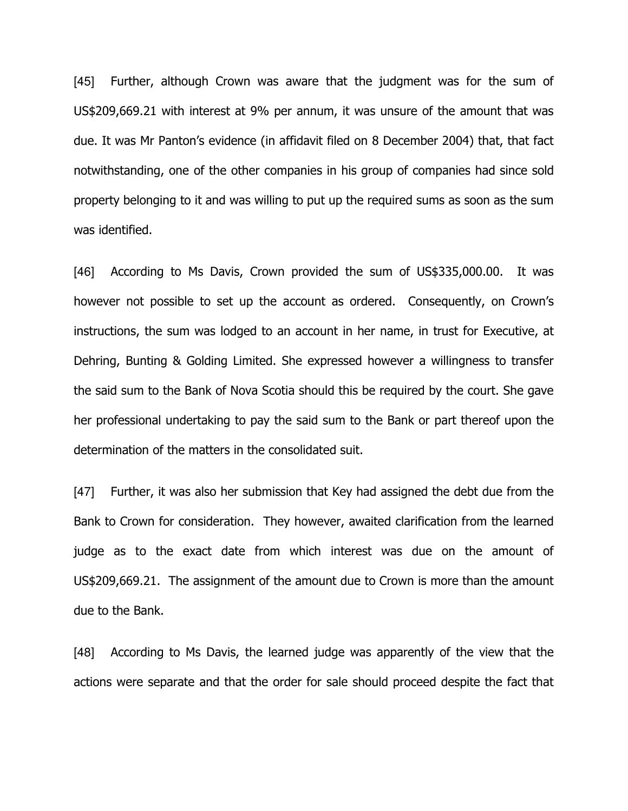[45] Further, although Crown was aware that the judgment was for the sum of US\$209,669.21 with interest at 9% per annum, it was unsure of the amount that was due. It was Mr Panton's evidence (in affidavit filed on 8 December 2004) that, that fact notwithstanding, one of the other companies in his group of companies had since sold property belonging to it and was willing to put up the required sums as soon as the sum was identified.

[46] According to Ms Davis, Crown provided the sum of US\$335,000.00. It was however not possible to set up the account as ordered. Consequently, on Crown's instructions, the sum was lodged to an account in her name, in trust for Executive, at Dehring, Bunting & Golding Limited. She expressed however a willingness to transfer the said sum to the Bank of Nova Scotia should this be required by the court. She gave her professional undertaking to pay the said sum to the Bank or part thereof upon the determination of the matters in the consolidated suit.

[47] Further, it was also her submission that Key had assigned the debt due from the Bank to Crown for consideration. They however, awaited clarification from the learned judge as to the exact date from which interest was due on the amount of US\$209,669.21. The assignment of the amount due to Crown is more than the amount due to the Bank.

[48] According to Ms Davis, the learned judge was apparently of the view that the actions were separate and that the order for sale should proceed despite the fact that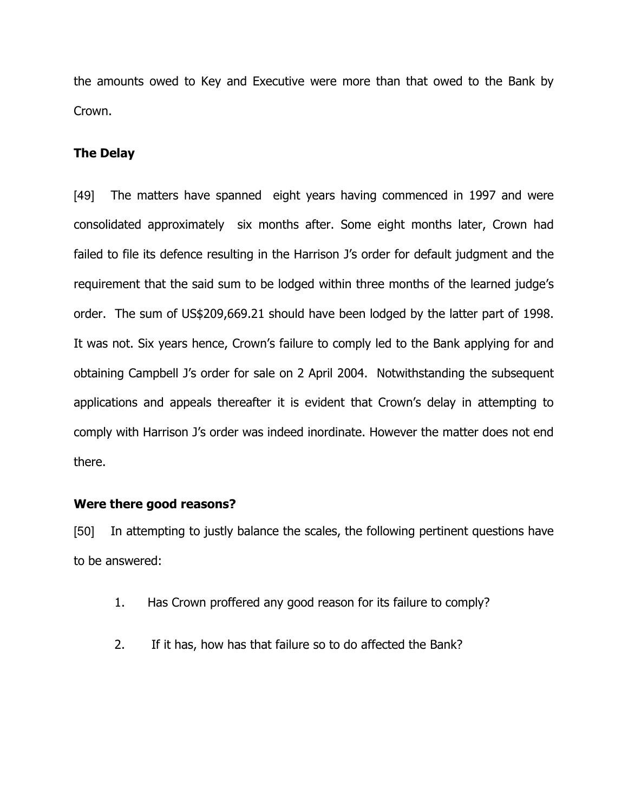the amounts owed to Key and Executive were more than that owed to the Bank by Crown.

## The Delay

[49] The matters have spanned eight years having commenced in 1997 and were consolidated approximately six months after. Some eight months later, Crown had failed to file its defence resulting in the Harrison J's order for default judgment and the requirement that the said sum to be lodged within three months of the learned judge's order. The sum of US\$209,669.21 should have been lodged by the latter part of 1998. It was not. Six years hence, Crown's failure to comply led to the Bank applying for and obtaining Campbell J's order for sale on 2 April 2004. Notwithstanding the subsequent applications and appeals thereafter it is evident that Crown's delay in attempting to comply with Harrison J's order was indeed inordinate. However the matter does not end there.

## Were there good reasons?

[50] In attempting to justly balance the scales, the following pertinent questions have to be answered:

- 1. Has Crown proffered any good reason for its failure to comply?
- 2. If it has, how has that failure so to do affected the Bank?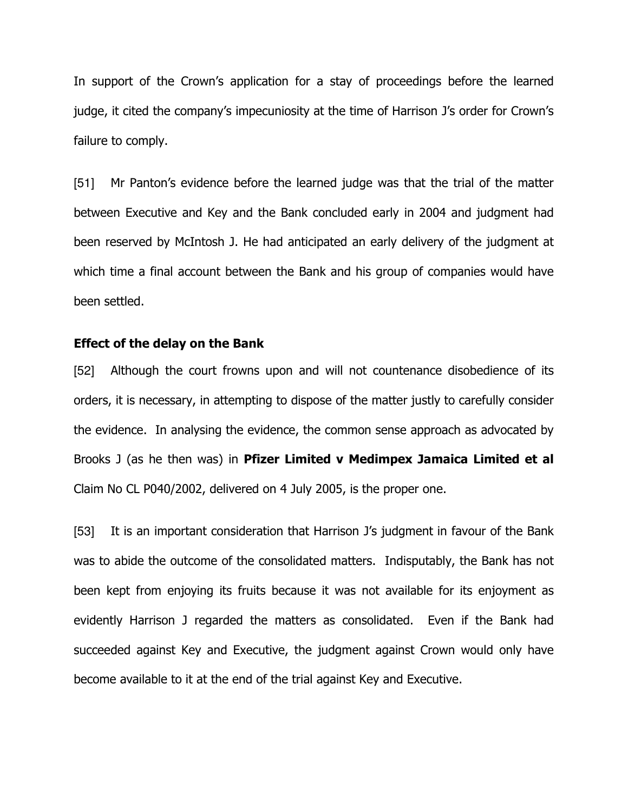In support of the Crown's application for a stay of proceedings before the learned judge, it cited the company's impecuniosity at the time of Harrison J's order for Crown's failure to comply.

[51] Mr Panton's evidence before the learned judge was that the trial of the matter between Executive and Key and the Bank concluded early in 2004 and judgment had been reserved by McIntosh J. He had anticipated an early delivery of the judgment at which time a final account between the Bank and his group of companies would have been settled.

#### Effect of the delay on the Bank

[52] Although the court frowns upon and will not countenance disobedience of its orders, it is necessary, in attempting to dispose of the matter justly to carefully consider the evidence. In analysing the evidence, the common sense approach as advocated by Brooks J (as he then was) in Pfizer Limited v Medimpex Jamaica Limited et al Claim No CL P040/2002, delivered on 4 July 2005, is the proper one.

[53] It is an important consideration that Harrison J's judgment in favour of the Bank was to abide the outcome of the consolidated matters. Indisputably, the Bank has not been kept from enjoying its fruits because it was not available for its enjoyment as evidently Harrison J regarded the matters as consolidated. Even if the Bank had succeeded against Key and Executive, the judgment against Crown would only have become available to it at the end of the trial against Key and Executive.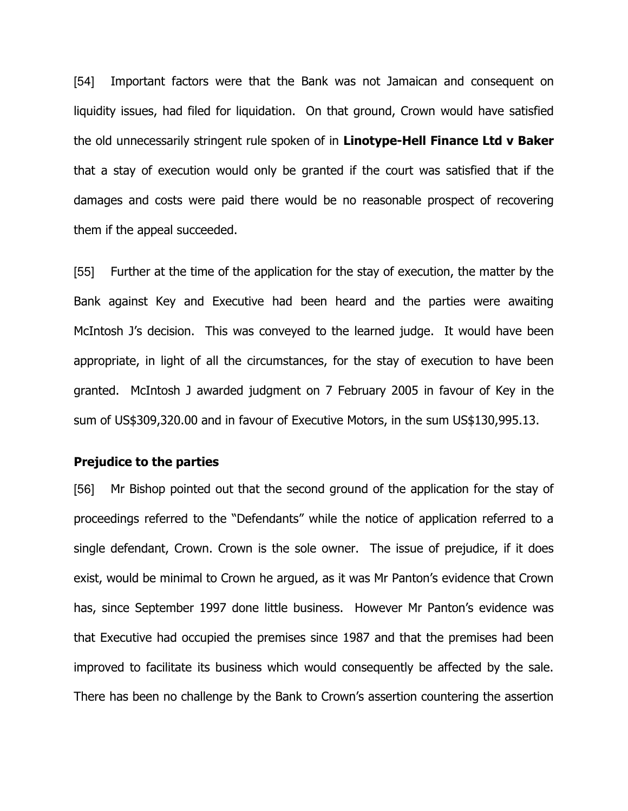[54] Important factors were that the Bank was not Jamaican and consequent on liquidity issues, had filed for liquidation. On that ground, Crown would have satisfied the old unnecessarily stringent rule spoken of in Linotype-Hell Finance Ltd v Baker that a stay of execution would only be granted if the court was satisfied that if the damages and costs were paid there would be no reasonable prospect of recovering them if the appeal succeeded.

[55] Further at the time of the application for the stay of execution, the matter by the Bank against Key and Executive had been heard and the parties were awaiting McIntosh J's decision. This was conveyed to the learned judge. It would have been appropriate, in light of all the circumstances, for the stay of execution to have been granted. McIntosh J awarded judgment on 7 February 2005 in favour of Key in the sum of US\$309,320.00 and in favour of Executive Motors, in the sum US\$130,995.13.

## Prejudice to the parties

[56] Mr Bishop pointed out that the second ground of the application for the stay of proceedings referred to the "Defendants" while the notice of application referred to a single defendant, Crown. Crown is the sole owner. The issue of prejudice, if it does exist, would be minimal to Crown he argued, as it was Mr Panton's evidence that Crown has, since September 1997 done little business. However Mr Panton's evidence was that Executive had occupied the premises since 1987 and that the premises had been improved to facilitate its business which would consequently be affected by the sale. There has been no challenge by the Bank to Crown's assertion countering the assertion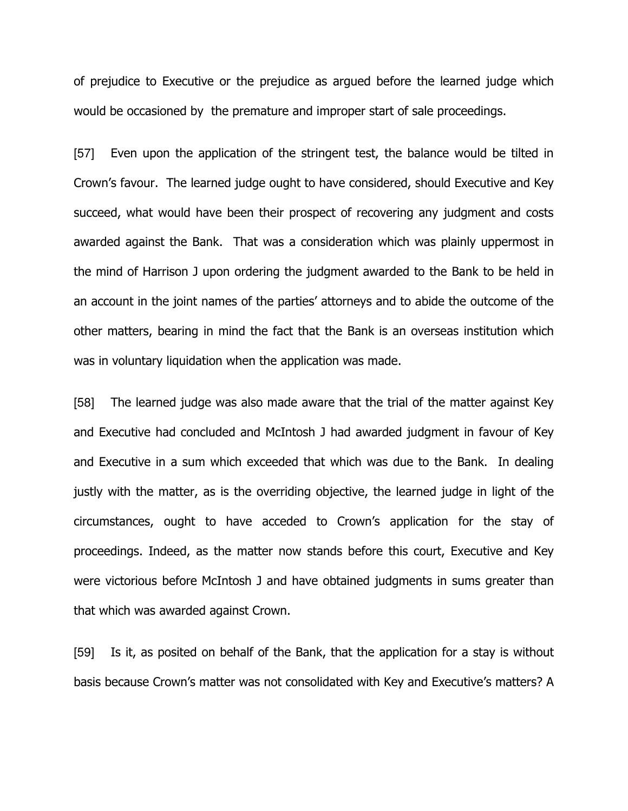of prejudice to Executive or the prejudice as argued before the learned judge which would be occasioned by the premature and improper start of sale proceedings.

[57] Even upon the application of the stringent test, the balance would be tilted in Crown's favour. The learned judge ought to have considered, should Executive and Key succeed, what would have been their prospect of recovering any judgment and costs awarded against the Bank. That was a consideration which was plainly uppermost in the mind of Harrison J upon ordering the judgment awarded to the Bank to be held in an account in the joint names of the parties' attorneys and to abide the outcome of the other matters, bearing in mind the fact that the Bank is an overseas institution which was in voluntary liquidation when the application was made.

[58] The learned judge was also made aware that the trial of the matter against Key and Executive had concluded and McIntosh J had awarded judgment in favour of Key and Executive in a sum which exceeded that which was due to the Bank. In dealing justly with the matter, as is the overriding objective, the learned judge in light of the circumstances, ought to have acceded to Crown's application for the stay of proceedings. Indeed, as the matter now stands before this court, Executive and Key were victorious before McIntosh J and have obtained judgments in sums greater than that which was awarded against Crown.

[59] Is it, as posited on behalf of the Bank, that the application for a stay is without basis because Crown's matter was not consolidated with Key and Executive's matters? A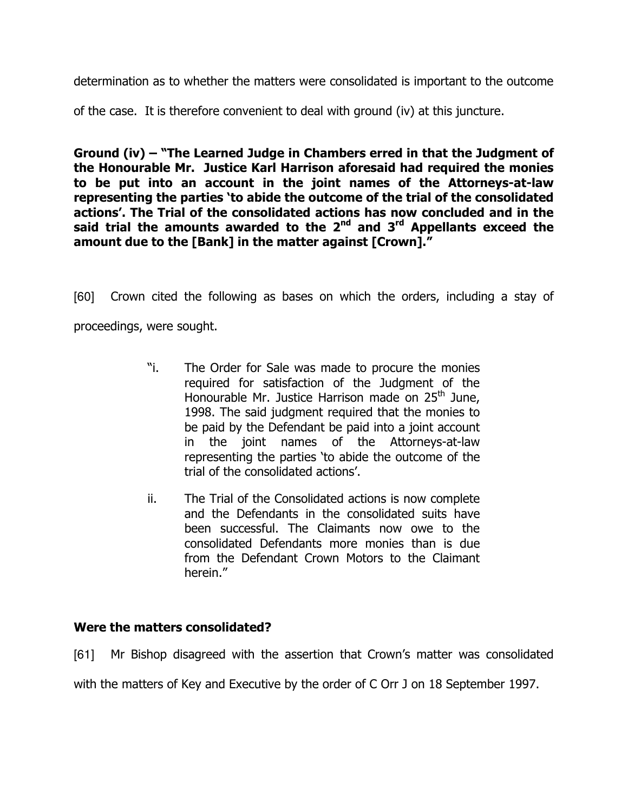determination as to whether the matters were consolidated is important to the outcome

of the case. It is therefore convenient to deal with ground (iv) at this juncture.

Ground (iv) – "The Learned Judge in Chambers erred in that the Judgment of the Honourable Mr. Justice Karl Harrison aforesaid had required the monies to be put into an account in the joint names of the Attorneys-at-law representing the parties 'to abide the outcome of the trial of the consolidated actions'. The Trial of the consolidated actions has now concluded and in the said trial the amounts awarded to the  $2<sup>nd</sup>$  and  $3<sup>rd</sup>$  Appellants exceed the amount due to the [Bank] in the matter against [Crown]."

[60] Crown cited the following as bases on which the orders, including a stay of proceedings, were sought.

- "i. The Order for Sale was made to procure the monies required for satisfaction of the Judgment of the Honourable Mr. Justice Harrison made on  $25<sup>th</sup>$  June, 1998. The said judgment required that the monies to be paid by the Defendant be paid into a joint account in the joint names of the Attorneys-at-law representing the parties 'to abide the outcome of the trial of the consolidated actions'.
- ii. The Trial of the Consolidated actions is now complete and the Defendants in the consolidated suits have been successful. The Claimants now owe to the consolidated Defendants more monies than is due from the Defendant Crown Motors to the Claimant herein."

# Were the matters consolidated?

[61] Mr Bishop disagreed with the assertion that Crown's matter was consolidated with the matters of Key and Executive by the order of C Orr J on 18 September 1997.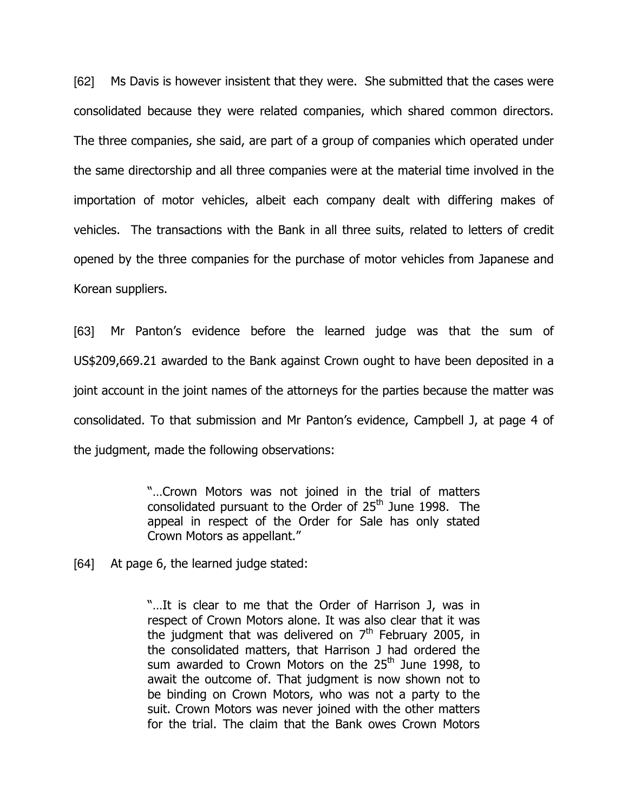[62] Ms Davis is however insistent that they were. She submitted that the cases were consolidated because they were related companies, which shared common directors. The three companies, she said, are part of a group of companies which operated under the same directorship and all three companies were at the material time involved in the importation of motor vehicles, albeit each company dealt with differing makes of vehicles. The transactions with the Bank in all three suits, related to letters of credit opened by the three companies for the purchase of motor vehicles from Japanese and Korean suppliers.

[63] Mr Panton's evidence before the learned judge was that the sum of US\$209,669.21 awarded to the Bank against Crown ought to have been deposited in a joint account in the joint names of the attorneys for the parties because the matter was consolidated. To that submission and Mr Panton's evidence, Campbell J, at page 4 of the judgment, made the following observations:

> "…Crown Motors was not joined in the trial of matters consolidated pursuant to the Order of  $25<sup>th</sup>$  June 1998. The appeal in respect of the Order for Sale has only stated Crown Motors as appellant."

[64] At page 6, the learned judge stated:

"…It is clear to me that the Order of Harrison J, was in respect of Crown Motors alone. It was also clear that it was the judgment that was delivered on  $7<sup>th</sup>$  February 2005, in the consolidated matters, that Harrison J had ordered the sum awarded to Crown Motors on the  $25<sup>th</sup>$  June 1998, to await the outcome of. That judgment is now shown not to be binding on Crown Motors, who was not a party to the suit. Crown Motors was never joined with the other matters for the trial. The claim that the Bank owes Crown Motors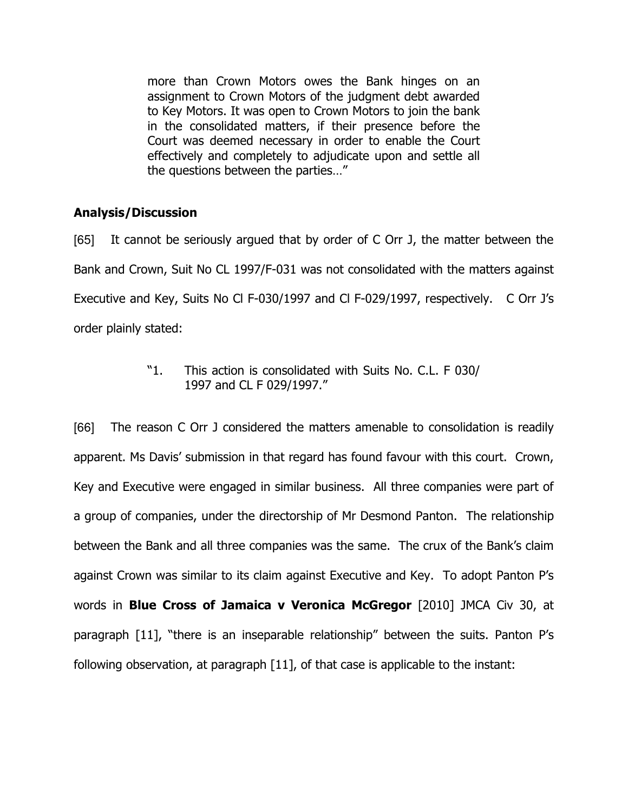more than Crown Motors owes the Bank hinges on an assignment to Crown Motors of the judgment debt awarded to Key Motors. It was open to Crown Motors to join the bank in the consolidated matters, if their presence before the Court was deemed necessary in order to enable the Court effectively and completely to adjudicate upon and settle all the questions between the parties…"

# Analysis/Discussion

[65] It cannot be seriously argued that by order of C Orr J, the matter between the Bank and Crown, Suit No CL 1997/F-031 was not consolidated with the matters against Executive and Key, Suits No Cl F-030/1997 and Cl F-029/1997, respectively. C Orr J's order plainly stated:

> "1. This action is consolidated with Suits No. C.L. F 030/ 1997 and CL F 029/1997."

[66] The reason C Orr J considered the matters amenable to consolidation is readily apparent. Ms Davis' submission in that regard has found favour with this court. Crown, Key and Executive were engaged in similar business. All three companies were part of a group of companies, under the directorship of Mr Desmond Panton. The relationship between the Bank and all three companies was the same. The crux of the Bank's claim against Crown was similar to its claim against Executive and Key. To adopt Panton P's words in **Blue Cross of Jamaica v Veronica McGregor** [2010] JMCA Civ 30, at paragraph [11], "there is an inseparable relationship" between the suits. Panton P's following observation, at paragraph [11], of that case is applicable to the instant: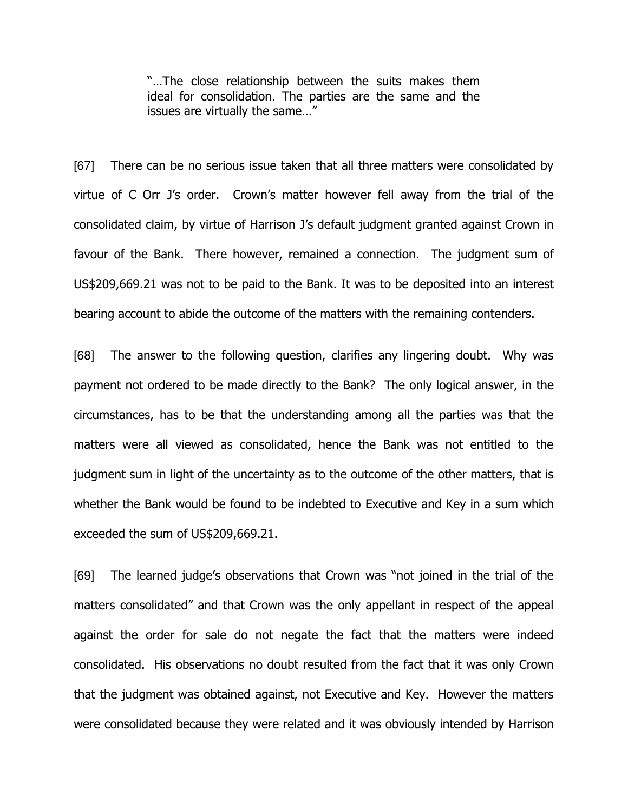"…The close relationship between the suits makes them ideal for consolidation. The parties are the same and the issues are virtually the same…"

[67] There can be no serious issue taken that all three matters were consolidated by virtue of C Orr J's order. Crown's matter however fell away from the trial of the consolidated claim, by virtue of Harrison J's default judgment granted against Crown in favour of the Bank. There however, remained a connection. The judgment sum of US\$209,669.21 was not to be paid to the Bank. It was to be deposited into an interest bearing account to abide the outcome of the matters with the remaining contenders.

[68] The answer to the following question, clarifies any lingering doubt. Why was payment not ordered to be made directly to the Bank? The only logical answer, in the circumstances, has to be that the understanding among all the parties was that the matters were all viewed as consolidated, hence the Bank was not entitled to the judgment sum in light of the uncertainty as to the outcome of the other matters, that is whether the Bank would be found to be indebted to Executive and Key in a sum which exceeded the sum of US\$209,669.21.

[69] The learned judge's observations that Crown was "not joined in the trial of the matters consolidated" and that Crown was the only appellant in respect of the appeal against the order for sale do not negate the fact that the matters were indeed consolidated. His observations no doubt resulted from the fact that it was only Crown that the judgment was obtained against, not Executive and Key. However the matters were consolidated because they were related and it was obviously intended by Harrison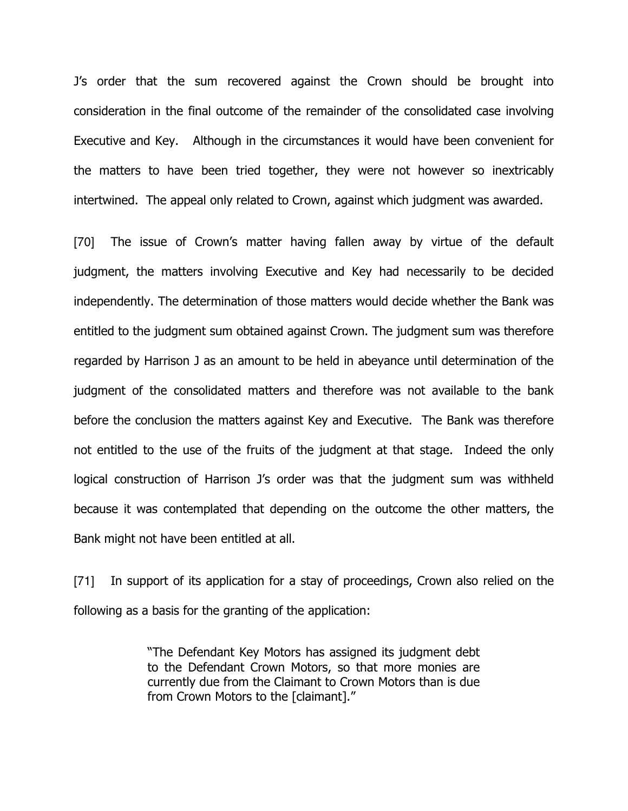J's order that the sum recovered against the Crown should be brought into consideration in the final outcome of the remainder of the consolidated case involving Executive and Key. Although in the circumstances it would have been convenient for the matters to have been tried together, they were not however so inextricably intertwined. The appeal only related to Crown, against which judgment was awarded.

[70] The issue of Crown's matter having fallen away by virtue of the default judgment, the matters involving Executive and Key had necessarily to be decided independently. The determination of those matters would decide whether the Bank was entitled to the judgment sum obtained against Crown. The judgment sum was therefore regarded by Harrison J as an amount to be held in abeyance until determination of the judgment of the consolidated matters and therefore was not available to the bank before the conclusion the matters against Key and Executive. The Bank was therefore not entitled to the use of the fruits of the judgment at that stage. Indeed the only logical construction of Harrison J's order was that the judgment sum was withheld because it was contemplated that depending on the outcome the other matters, the Bank might not have been entitled at all.

[71] In support of its application for a stay of proceedings, Crown also relied on the following as a basis for the granting of the application:

> "The Defendant Key Motors has assigned its judgment debt to the Defendant Crown Motors, so that more monies are currently due from the Claimant to Crown Motors than is due from Crown Motors to the [claimant]."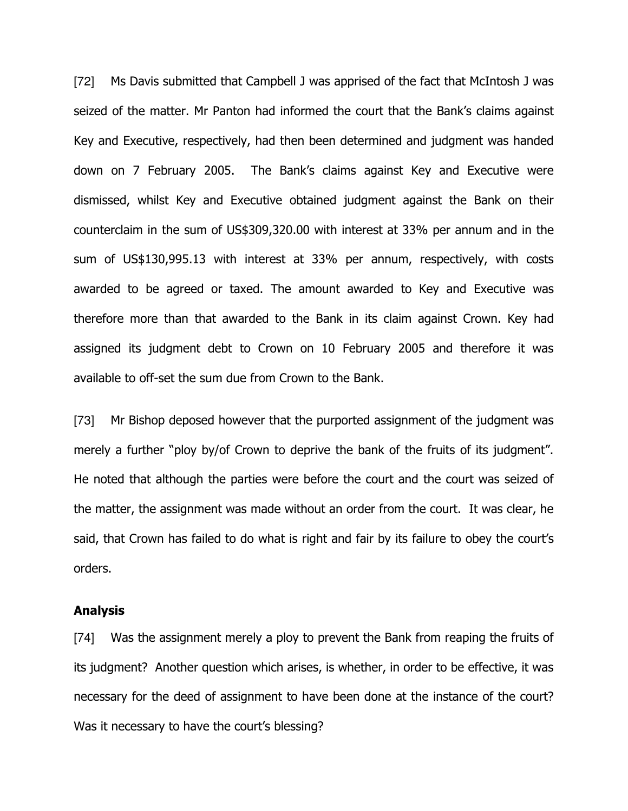[72] Ms Davis submitted that Campbell J was apprised of the fact that McIntosh J was seized of the matter. Mr Panton had informed the court that the Bank's claims against Key and Executive, respectively, had then been determined and judgment was handed down on 7 February 2005. The Bank's claims against Key and Executive were dismissed, whilst Key and Executive obtained judgment against the Bank on their counterclaim in the sum of US\$309,320.00 with interest at 33% per annum and in the sum of US\$130,995.13 with interest at 33% per annum, respectively, with costs awarded to be agreed or taxed. The amount awarded to Key and Executive was therefore more than that awarded to the Bank in its claim against Crown. Key had assigned its judgment debt to Crown on 10 February 2005 and therefore it was available to off-set the sum due from Crown to the Bank.

[73] Mr Bishop deposed however that the purported assignment of the judgment was merely a further "ploy by/of Crown to deprive the bank of the fruits of its judgment". He noted that although the parties were before the court and the court was seized of the matter, the assignment was made without an order from the court. It was clear, he said, that Crown has failed to do what is right and fair by its failure to obey the court's orders.

### Analysis

[74] Was the assignment merely a ploy to prevent the Bank from reaping the fruits of its judgment? Another question which arises, is whether, in order to be effective, it was necessary for the deed of assignment to have been done at the instance of the court? Was it necessary to have the court's blessing?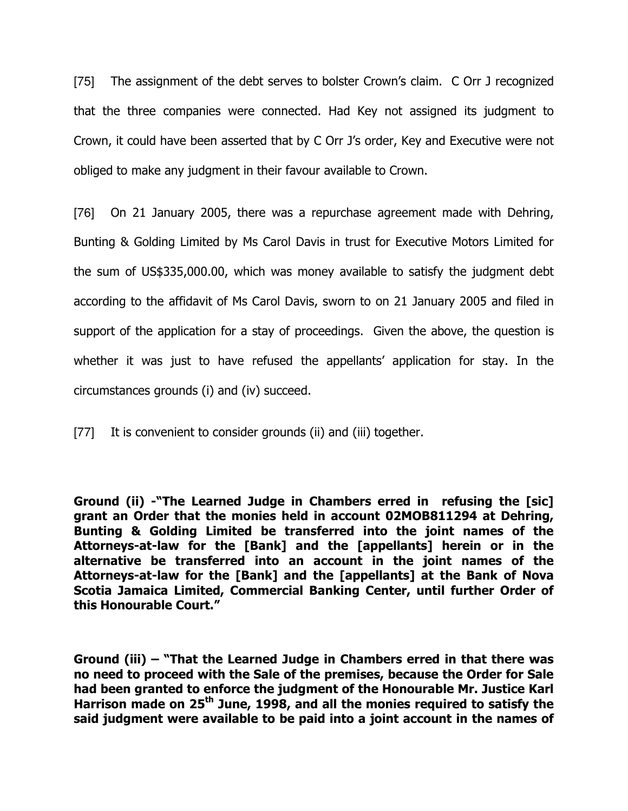[75] The assignment of the debt serves to bolster Crown's claim. C Orr J recognized that the three companies were connected. Had Key not assigned its judgment to Crown, it could have been asserted that by C Orr J's order, Key and Executive were not obliged to make any judgment in their favour available to Crown.

[76] On 21 January 2005, there was a repurchase agreement made with Dehring, Bunting & Golding Limited by Ms Carol Davis in trust for Executive Motors Limited for the sum of US\$335,000.00, which was money available to satisfy the judgment debt according to the affidavit of Ms Carol Davis, sworn to on 21 January 2005 and filed in support of the application for a stay of proceedings. Given the above, the question is whether it was just to have refused the appellants' application for stay. In the circumstances grounds (i) and (iv) succeed.

[77] It is convenient to consider grounds (ii) and (iii) together.

Ground (ii) -"The Learned Judge in Chambers erred in refusing the [sic] grant an Order that the monies held in account 02MOB811294 at Dehring, Bunting & Golding Limited be transferred into the joint names of the Attorneys-at-law for the [Bank] and the [appellants] herein or in the alternative be transferred into an account in the joint names of the Attorneys-at-law for the [Bank] and the [appellants] at the Bank of Nova Scotia Jamaica Limited, Commercial Banking Center, until further Order of this Honourable Court."

Ground (iii) – "That the Learned Judge in Chambers erred in that there was no need to proceed with the Sale of the premises, because the Order for Sale had been granted to enforce the judgment of the Honourable Mr. Justice Karl Harrison made on  $25<sup>th</sup>$  June, 1998, and all the monies required to satisfy the said judgment were available to be paid into a joint account in the names of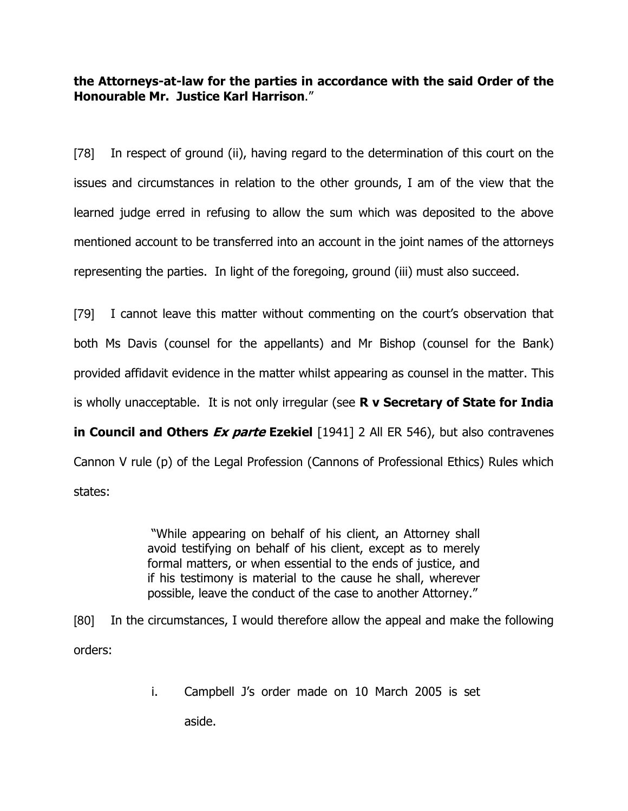the Attorneys-at-law for the parties in accordance with the said Order of the Honourable Mr. Justice Karl Harrison."

[78] In respect of ground (ii), having regard to the determination of this court on the issues and circumstances in relation to the other grounds, I am of the view that the learned judge erred in refusing to allow the sum which was deposited to the above mentioned account to be transferred into an account in the joint names of the attorneys representing the parties. In light of the foregoing, ground (iii) must also succeed.

[79] I cannot leave this matter without commenting on the court's observation that both Ms Davis (counsel for the appellants) and Mr Bishop (counsel for the Bank) provided affidavit evidence in the matter whilst appearing as counsel in the matter. This is wholly unacceptable. It is not only irregular (see  $R$  v Secretary of State for India in Council and Others  $Ex$  parte Ezekiel  $[1941]$  2 All ER 546), but also contravenes Cannon V rule (p) of the Legal Profession (Cannons of Professional Ethics) Rules which states:

> "While appearing on behalf of his client, an Attorney shall avoid testifying on behalf of his client, except as to merely formal matters, or when essential to the ends of justice, and if his testimony is material to the cause he shall, wherever possible, leave the conduct of the case to another Attorney."

[80] In the circumstances, I would therefore allow the appeal and make the following orders:

i. Campbell J's order made on 10 March 2005 is set

aside.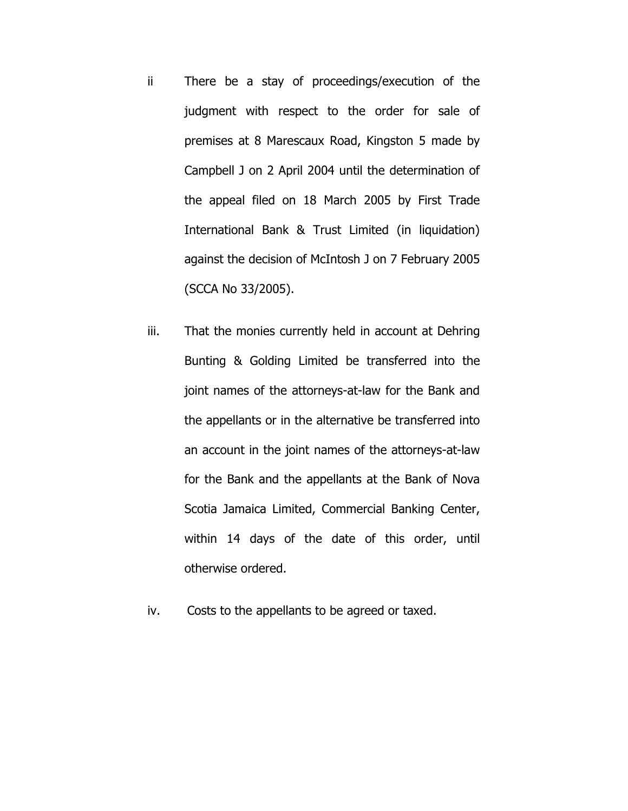- ii There be a stay of proceedings/execution of the judgment with respect to the order for sale of premises at 8 Marescaux Road, Kingston 5 made by Campbell J on 2 April 2004 until the determination of the appeal filed on 18 March 2005 by First Trade International Bank & Trust Limited (in liquidation) against the decision of McIntosh J on 7 February 2005 (SCCA No 33/2005).
- iii. That the monies currently held in account at Dehring Bunting & Golding Limited be transferred into the joint names of the attorneys-at-law for the Bank and the appellants or in the alternative be transferred into an account in the joint names of the attorneys-at-law for the Bank and the appellants at the Bank of Nova Scotia Jamaica Limited, Commercial Banking Center, within 14 days of the date of this order, until otherwise ordered.
- iv. Costs to the appellants to be agreed or taxed.